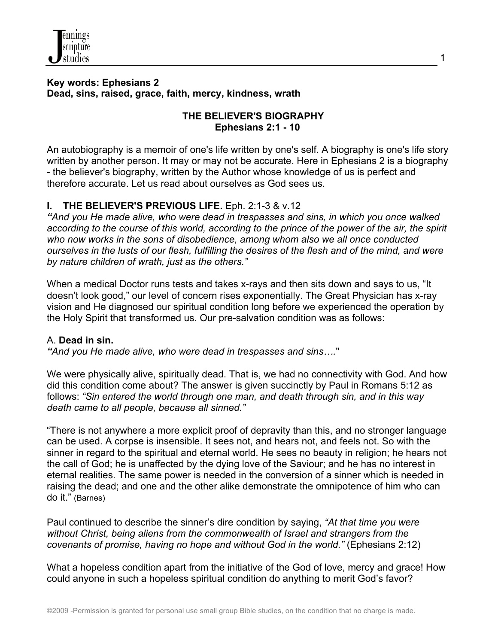

#### **Key words: Ephesians 2 Dead, sins, raised, grace, faith, mercy, kindness, wrath**

### **THE BELIEVER'S BIOGRAPHY Ephesians 2:1 - 10**

1

An autobiography is a memoir of one's life written by one's self. A biography is one's life story written by another person. It may or may not be accurate. Here in Ephesians 2 is a biography - the believer's biography, written by the Author whose knowledge of us is perfect and therefore accurate. Let us read about ourselves as God sees us.

## **I. THE BELIEVER'S PREVIOUS LIFE.** Eph. 2:1-3 & v.12

*"And you He made alive, who were dead in trespasses and sins, in which you once walked according to the course of this world, according to the prince of the power of the air, the spirit who now works in the sons of disobedience, among whom also we all once conducted ourselves in the lusts of our flesh, fulfilling the desires of the flesh and of the mind, and were by nature children of wrath, just as the others."* 

When a medical Doctor runs tests and takes x-rays and then sits down and says to us, "It doesn't look good," our level of concern rises exponentially. The Great Physician has x-ray vision and He diagnosed our spiritual condition long before we experienced the operation by the Holy Spirit that transformed us. Our pre-salvation condition was as follows:

### A. **Dead in sin.**

*"And you He made alive, who were dead in trespasses and sins….*"

We were physically alive, spiritually dead. That is, we had no connectivity with God. And how did this condition come about? The answer is given succinctly by Paul in Romans 5:12 as follows: *"Sin entered the world through one man, and death through sin, and in this way death came to all people, because all sinned."*

"There is not anywhere a more explicit proof of depravity than this, and no stronger language can be used. A corpse is insensible. It sees not, and hears not, and feels not. So with the sinner in regard to the spiritual and eternal world. He sees no beauty in religion; he hears not the call of God; he is unaffected by the dying love of the Saviour; and he has no interest in eternal realities. The same power is needed in the conversion of a sinner which is needed in raising the dead; and one and the other alike demonstrate the omnipotence of him who can do it." (Barnes)

Paul continued to describe the sinner's dire condition by saying, *"At that time you were without Christ, being aliens from the commonwealth of Israel and strangers from the covenants of promise, having no hope and without God in the world."* (Ephesians 2:12)

What a hopeless condition apart from the initiative of the God of love, mercy and grace! How could anyone in such a hopeless spiritual condition do anything to merit God's favor?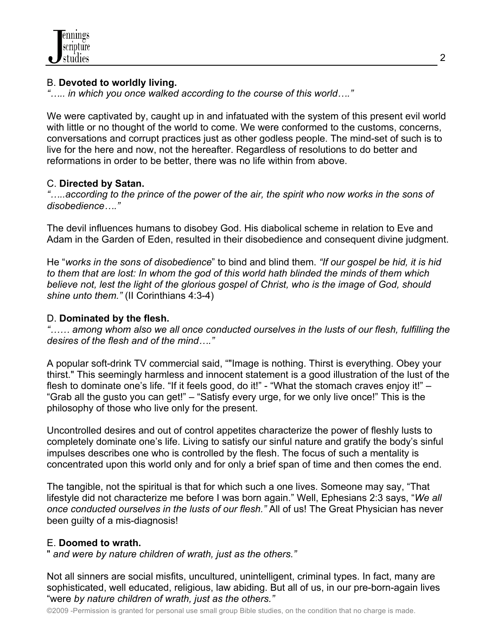## B. **Devoted to worldly living.**

*"….. in which you once walked according to the course of this world…."*

We were captivated by, caught up in and infatuated with the system of this present evil world with little or no thought of the world to come. We were conformed to the customs, concerns, conversations and corrupt practices just as other godless people. The mind-set of such is to live for the here and now, not the hereafter. Regardless of resolutions to do better and reformations in order to be better, there was no life within from above.

# C. **Directed by Satan.**

*"…..according to the prince of the power of the air, the spirit who now works in the sons of disobedience…."*

The devil influences humans to disobey God. His diabolical scheme in relation to Eve and Adam in the Garden of Eden, resulted in their disobedience and consequent divine judgment.

He "*works in the sons of disobedience*" to bind and blind them. *"If our gospel be hid, it is hid to them that are lost: In whom the god of this world hath blinded the minds of them which believe not, lest the light of the glorious gospel of Christ, who is the image of God, should shine unto them."* (II Corinthians 4:3-4)

# D. **Dominated by the flesh.**

*"…… among whom also we all once conducted ourselves in the lusts of our flesh, fulfilling the desires of the flesh and of the mind…."*

A popular soft-drink TV commercial said, ""Image is nothing. Thirst is everything. Obey your thirst." This seemingly harmless and innocent statement is a good illustration of the lust of the flesh to dominate one's life. "If it feels good, do it!" - "What the stomach craves enjoy it!" – "Grab all the gusto you can get!" – "Satisfy every urge, for we only live once!" This is the philosophy of those who live only for the present.

Uncontrolled desires and out of control appetites characterize the power of fleshly lusts to completely dominate one's life. Living to satisfy our sinful nature and gratify the body's sinful impulses describes one who is controlled by the flesh. The focus of such a mentality is concentrated upon this world only and for only a brief span of time and then comes the end.

The tangible, not the spiritual is that for which such a one lives. Someone may say, "That lifestyle did not characterize me before I was born again." Well, Ephesians 2:3 says, "*We all once conducted ourselves in the lusts of our flesh."* All of us! The Great Physician has never been guilty of a mis-diagnosis!

# E. **Doomed to wrath.**

" *and were by nature children of wrath, just as the others."* 

Not all sinners are social misfits, uncultured, unintelligent, criminal types. In fact, many are sophisticated, well educated, religious, law abiding. But all of us, in our pre-born-again lives "were *by nature children of wrath, just as the others."*

©2009 -Permission is granted for personal use small group Bible studies, on the condition that no charge is made.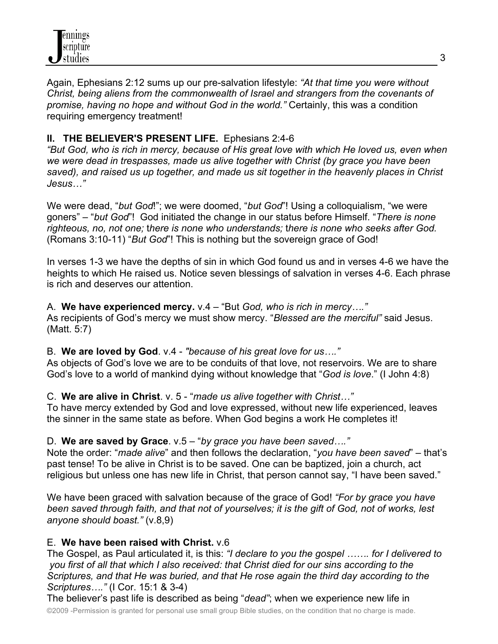Again, Ephesians 2:12 sums up our pre-salvation lifestyle: *"At that time you were without Christ, being aliens from the commonwealth of Israel and strangers from the covenants of promise, having no hope and without God in the world."* Certainly, this was a condition requiring emergency treatment!

# **II. THE BELIEVER'S PRESENT LIFE.** Ephesians 2:4-6

*"But God, who is rich in mercy, because of His great love with which He loved us, even when we were dead in trespasses, made us alive together with Christ (by grace you have been saved), and raised us up together, and made us sit together in the heavenly places in Christ Jesus…"*

We were dead, "*but God*!"; we were doomed, "*but God*"! Using a colloquialism, "we were goners" – "*but God*"! God initiated the change in our status before Himself. "*There is none righteous, no, not one;* t*here is none who understands;* t*here is none who seeks after God.* (Romans 3:10-11) "*But God*"! This is nothing but the sovereign grace of God!

In verses 1-3 we have the depths of sin in which God found us and in verses 4-6 we have the heights to which He raised us. Notice seven blessings of salvation in verses 4-6. Each phrase is rich and deserves our attention.

A. **We have experienced mercy.** v.4 – "But *God, who is rich in mercy…."* As recipients of God's mercy we must show mercy. "*Blessed are the merciful"* said Jesus. (Matt. 5:7)

B. **We are loved by God**. v.4 - *"because of his great love for us…."* As objects of God's love we are to be conduits of that love, not reservoirs. We are to share God's love to a world of mankind dying without knowledge that "*God is love*." (I John 4:8)

## C. **We are alive in Christ**. v. 5 - "*made us alive together with Christ…"*

To have mercy extended by God and love expressed, without new life experienced, leaves the sinner in the same state as before. When God begins a work He completes it!

## D. **We are saved by Grace**. v.5 – "*by grace you have been saved…."*

Note the order: "*made alive*" and then follows the declaration, "*you have been saved*" – that's past tense! To be alive in Christ is to be saved. One can be baptized, join a church, act religious but unless one has new life in Christ, that person cannot say, "I have been saved."

We have been graced with salvation because of the grace of God! *"For by grace you have been saved through faith, and that not of yourselves; it is the gift of God, not of works, lest anyone should boast."* (v.8,9)

# E. **We have been raised with Christ.** v.6

The Gospel, as Paul articulated it, is this: *"I declare to you the gospel ……. for I delivered to you first of all that which I also received: that Christ died for our sins according to the Scriptures, and that He was buried, and that He rose again the third day according to the Scriptures…."* (I Cor. 15:1 & 3-4)

©2009 -Permission is granted for personal use small group Bible studies, on the condition that no charge is made. The believer's past life is described as being "*dead"*; when we experience new life in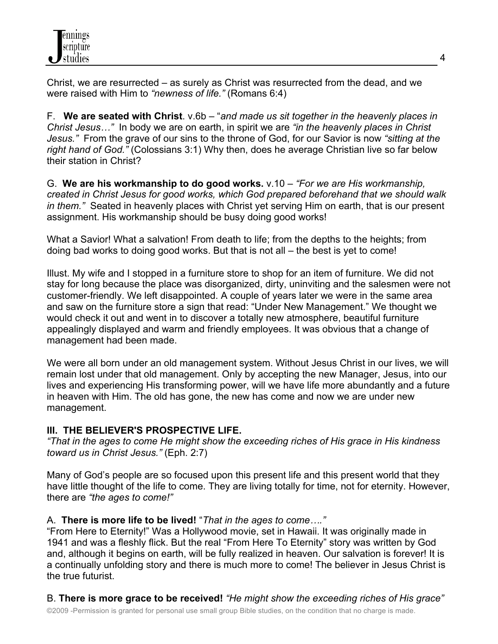Christ, we are resurrected – as surely as Christ was resurrected from the dead, and we were raised with Him to *"newness of life."* (Romans 6:4)

F. **We are seated with Christ**. v.6b – "*and made us sit together in the heavenly places in Christ Jesus…"* In body we are on earth, in spirit we are *"in the heavenly places in Christ Jesus."* From the grave of our sins to the throne of God, for our Savior is now *"sitting at the right hand of God."* (Colossians 3:1) Why then, does he average Christian live so far below their station in Christ?

G. **We are his workmanship to do good works.** v.10 – *"For we are His workmanship, created in Christ Jesus for good works, which God prepared beforehand that we should walk in them."* Seated in heavenly places with Christ yet serving Him on earth, that is our present assignment. His workmanship should be busy doing good works!

What a Savior! What a salvation! From death to life; from the depths to the heights; from doing bad works to doing good works. But that is not all – the best is yet to come!

Illust. My wife and I stopped in a furniture store to shop for an item of furniture. We did not stay for long because the place was disorganized, dirty, uninviting and the salesmen were not customer-friendly. We left disappointed. A couple of years later we were in the same area and saw on the furniture store a sign that read: "Under New Management." We thought we would check it out and went in to discover a totally new atmosphere, beautiful furniture appealingly displayed and warm and friendly employees. It was obvious that a change of management had been made.

We were all born under an old management system. Without Jesus Christ in our lives, we will remain lost under that old management. Only by accepting the new Manager, Jesus, into our lives and experiencing His transforming power, will we have life more abundantly and a future in heaven with Him. The old has gone, the new has come and now we are under new management.

## **III. THE BELIEVER'S PROSPECTIVE LIFE.**

*"That in the ages to come He might show the exceeding riches of His grace in His kindness toward us in Christ Jesus."* (Eph. 2:7)

Many of God's people are so focused upon this present life and this present world that they have little thought of the life to come. They are living totally for time, not for eternity. However, there are *"the ages to come!"*

# A. **There is more life to be lived!** "*That in the ages to come…."*

"From Here to Eternity!" Was a Hollywood movie, set in Hawaii. It was originally made in 1941 and was a fleshly flick. But the real "From Here To Eternity" story was written by God and, although it begins on earth, will be fully realized in heaven. Our salvation is forever! It is a continually unfolding story and there is much more to come! The believer in Jesus Christ is the true futurist.

B. **There is more grace to be received!** *"He might show the exceeding riches of His grace"*

©2009 -Permission is granted for personal use small group Bible studies, on the condition that no charge is made.